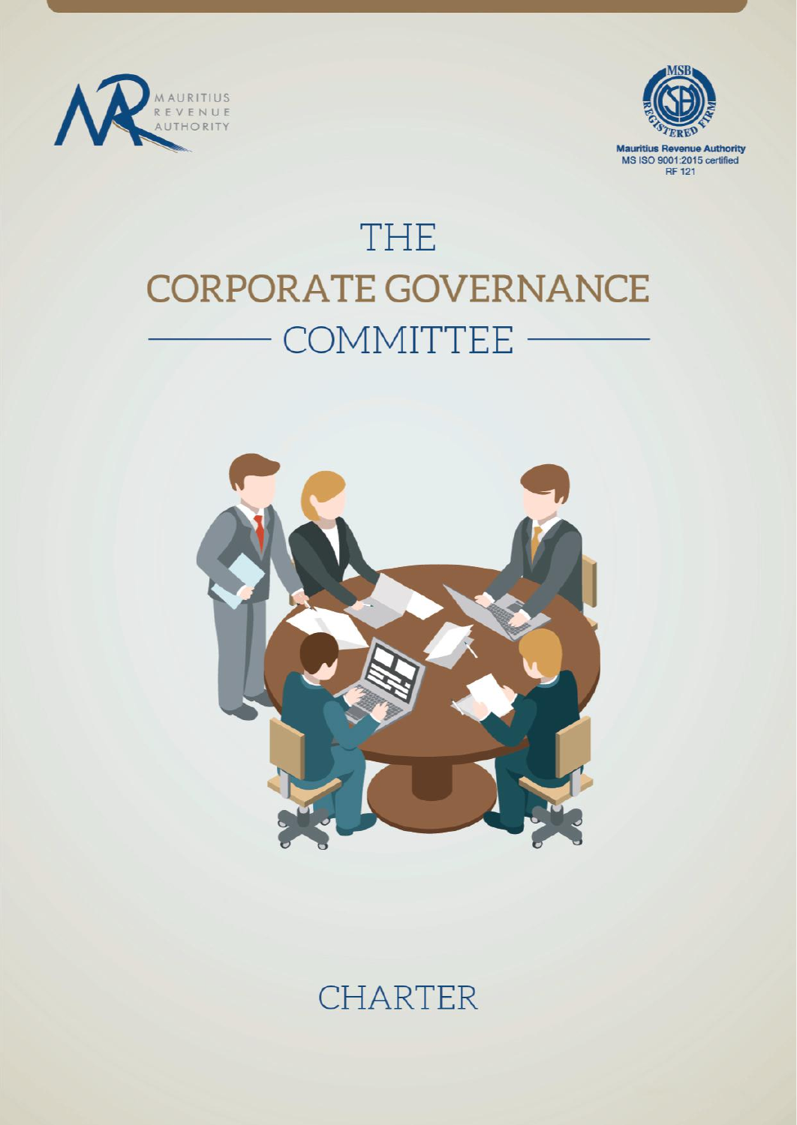



# **THE CORPORATE GOVERNANCE** COMMITTEE -



# **CHARTER**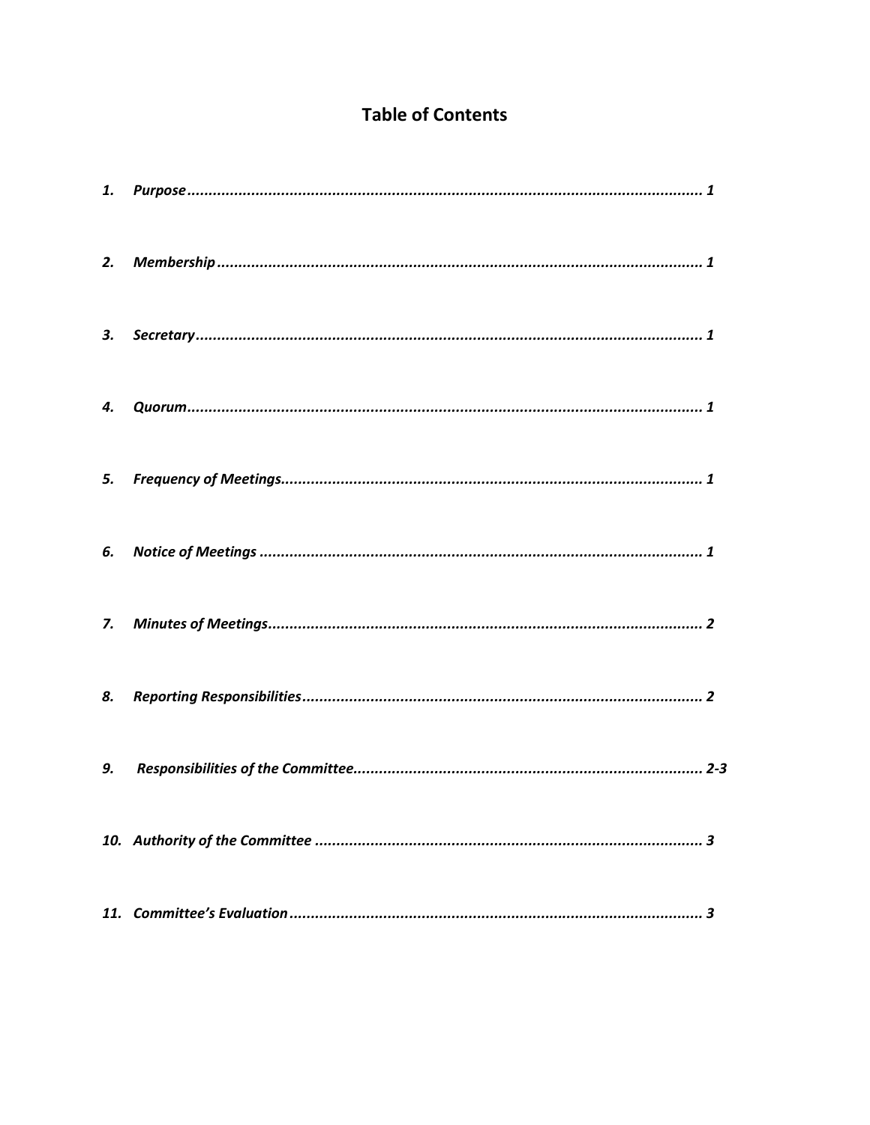# **Table of Contents**

| 4.          |  |
|-------------|--|
| 5.          |  |
| 6.          |  |
| $Z_{\rm c}$ |  |
| 8.          |  |
| 9.          |  |
|             |  |
|             |  |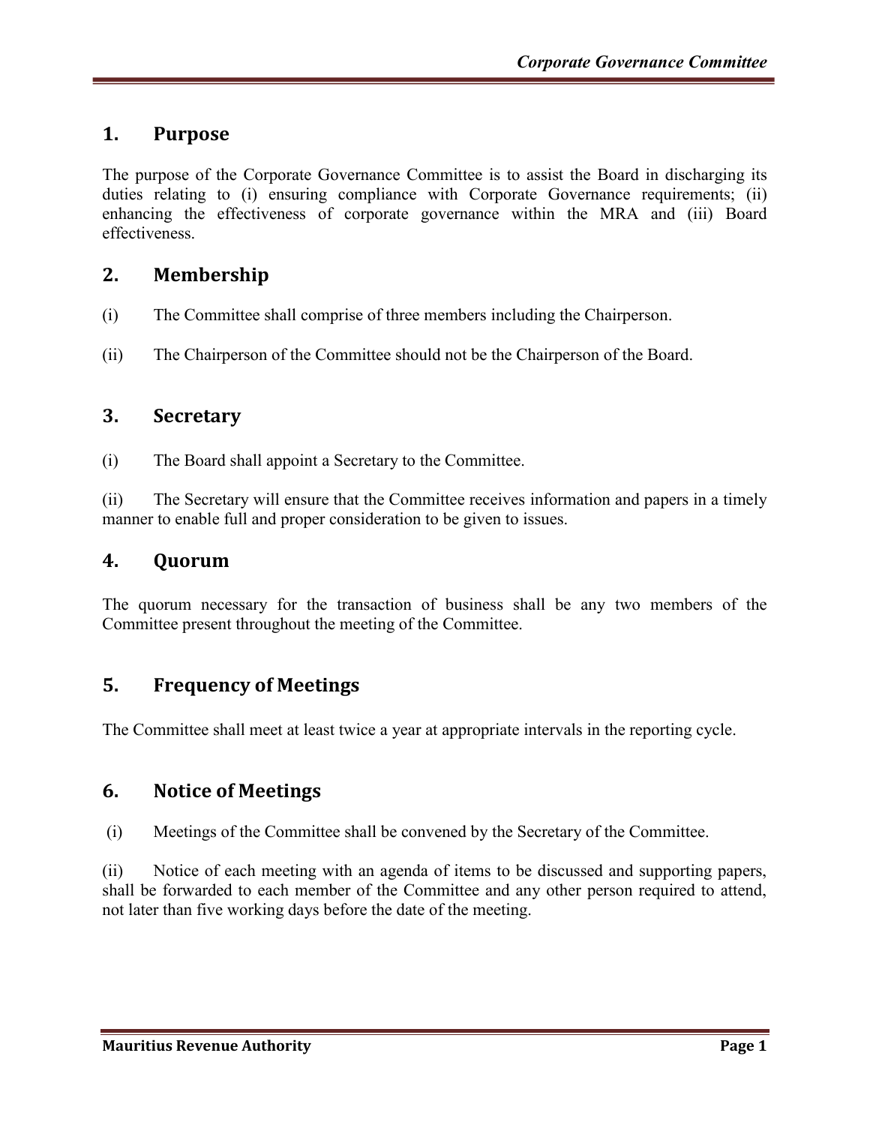# **1. Purpose**

The purpose of the Corporate Governance Committee is to assist the Board in discharging its duties relating to (i) ensuring compliance with Corporate Governance requirements; (ii) enhancing the effectiveness of corporate governance within the MRA and (iii) Board effectiveness.

# **2. Membership**

- (i) The Committee shall comprise of three members including the Chairperson.
- (ii) The Chairperson of the Committee should not be the Chairperson of the Board.

#### **3. Secretary**

(i) The Board shall appoint a Secretary to the Committee.

(ii) The Secretary will ensure that the Committee receives information and papers in a timely manner to enable full and proper consideration to be given to issues.

#### **4. Quorum**

The quorum necessary for the transaction of business shall be any two members of the Committee present throughout the meeting of the Committee.

# **5. Frequency of Meetings**

The Committee shall meet at least twice a year at appropriate intervals in the reporting cycle.

#### **6. Notice of Meetings**

(i) Meetings of the Committee shall be convened by the Secretary of the Committee.

(ii) Notice of each meeting with an agenda of items to be discussed and supporting papers, shall be forwarded to each member of the Committee and any other person required to attend, not later than five working days before the date of the meeting.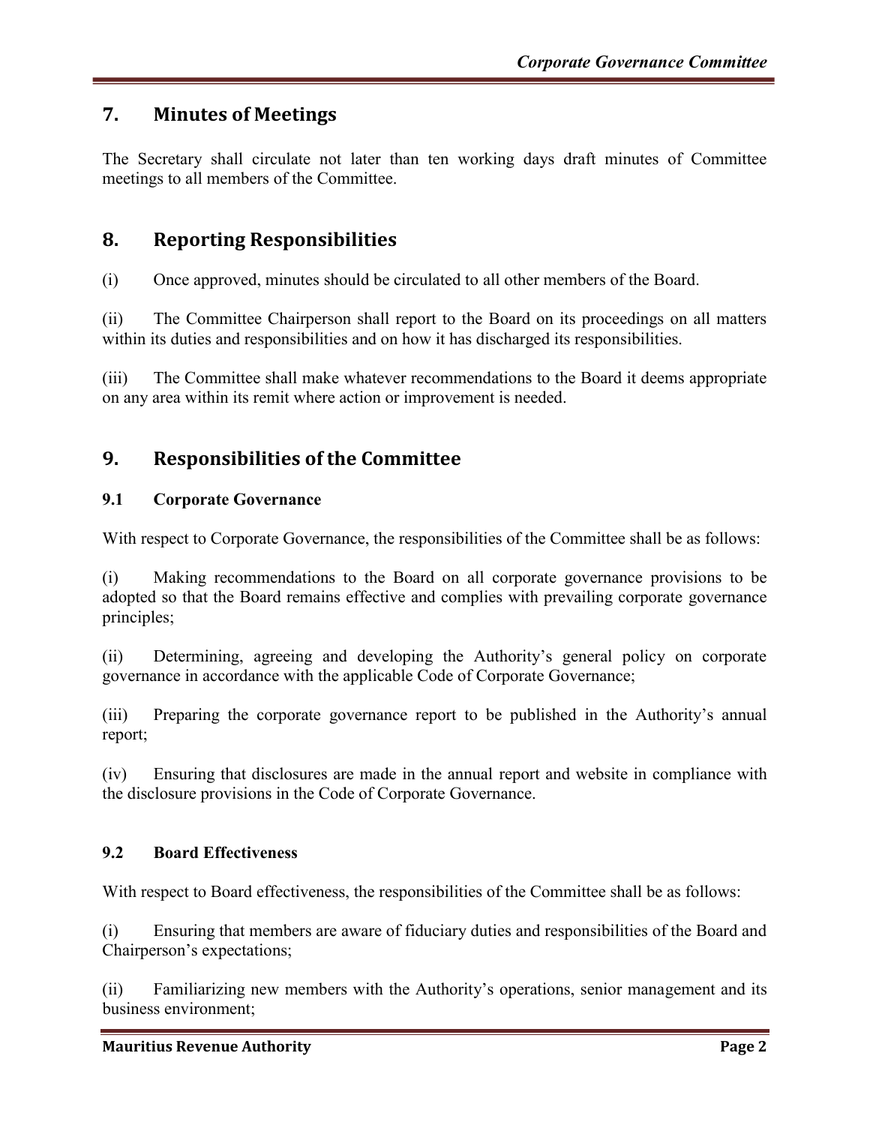# **7. Minutes of Meetings**

The Secretary shall circulate not later than ten working days draft minutes of Committee meetings to all members of the Committee.

# **8. Reporting Responsibilities**

(i) Once approved, minutes should be circulated to all other members of the Board.

(ii) The Committee Chairperson shall report to the Board on its proceedings on all matters within its duties and responsibilities and on how it has discharged its responsibilities.

(iii) The Committee shall make whatever recommendations to the Board it deems appropriate on any area within its remit where action or improvement is needed.

# **9. Responsibilities of the Committee**

#### **9.1 Corporate Governance**

With respect to Corporate Governance, the responsibilities of the Committee shall be as follows:

(i) Making recommendations to the Board on all corporate governance provisions to be adopted so that the Board remains effective and complies with prevailing corporate governance principles;

(ii) Determining, agreeing and developing the Authority's general policy on corporate governance in accordance with the applicable Code of Corporate Governance;

(iii) Preparing the corporate governance report to be published in the Authority's annual report;

(iv) Ensuring that disclosures are made in the annual report and website in compliance with the disclosure provisions in the Code of Corporate Governance.

#### **9.2 Board Effectiveness**

With respect to Board effectiveness, the responsibilities of the Committee shall be as follows:

(i) Ensuring that members are aware of fiduciary duties and responsibilities of the Board and Chairperson's expectations;

(ii) Familiarizing new members with the Authority's operations, senior management and its business environment;